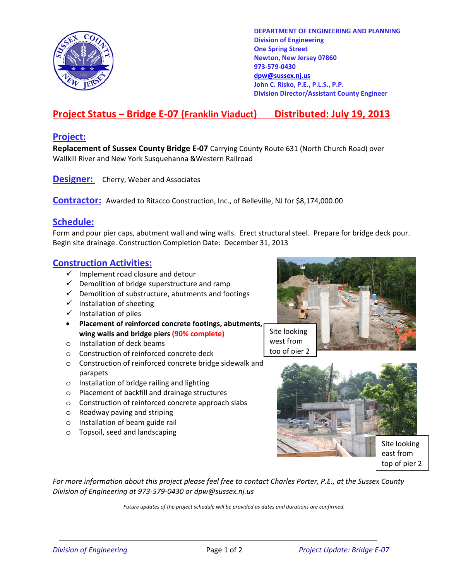

**DEPARTMENT OF ENGINEERING AND PLANNING Division of Engineering One Spring Street Newton, New Jersey 07860 973-579-0430 dpw@sussex.nj.us John C. Risko, P.E., P.L.S., P.P. Division Director/Assistant County Engineer** 

# **Project Status – Bridge E-07 (Franklin Viaduct) Distributed: July 19, 2013**

### **Project:**

**Replacement of Sussex County Bridge E-07** Carrying County Route 631 (North Church Road) over Wallkill River and New York Susquehanna &Western Railroad

**Designer:** Cherry, Weber and Associates

**Contractor:** Awarded to Ritacco Construction, Inc., of Belleville, NJ for \$8,174,000.00

#### **Schedule:**

Form and pour pier caps, abutment wall and wing walls. Erect structural steel. Prepare for bridge deck pour. Begin site drainage. Construction Completion Date: December 31, 2013

#### **Construction Activities:**

- $\checkmark$  Implement road closure and detour
- $\checkmark$  Demolition of bridge superstructure and ramp
- $\checkmark$  Demolition of substructure, abutments and footings
- $\checkmark$  Installation of sheeting
- $\checkmark$  Installation of piles
- **Placement of reinforced concrete footings, abutments,**  wing walls and bridge piers (90% complete) Site looking
- o Installation of deck beams
- o Construction of reinforced concrete deck
- o Construction of reinforced concrete bridge sidewalk and parapets
- o Installation of bridge railing and lighting
- o Placement of backfill and drainage structures
- o Construction of reinforced concrete approach slabs
- o Roadway paving and striping
- o Installation of beam guide rail
- o Topsoil, seed and landscaping





*For more information about this project please feel free to contact Charles Porter, P.E., at the Sussex County Division of Engineering at 973-579-0430 or dpw@sussex.nj.us* 

*Future updates of the project schedule will be provided as dates and durations are confirmed.*